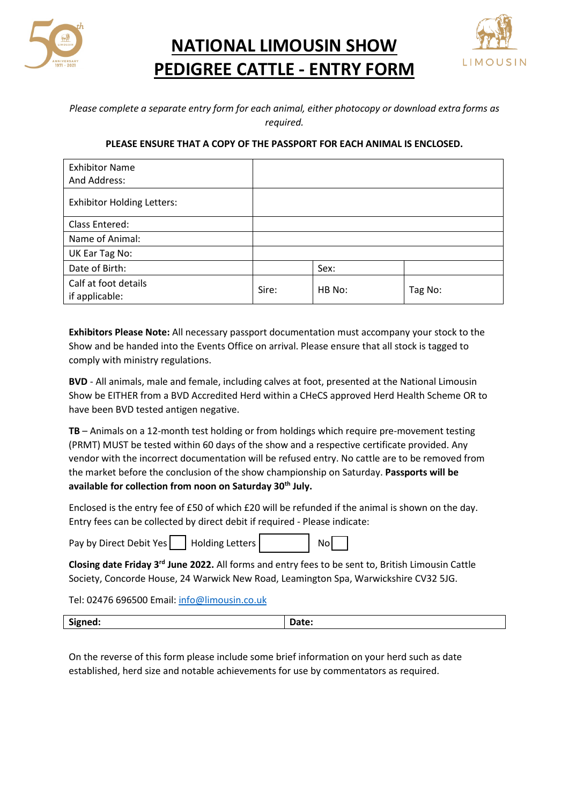

**NATIONAL LIMOUSIN SHOW PEDIGREE CATTLE - ENTRY FORM**



## *Please complete a separate entry form for each animal, either photocopy or download extra forms as required.*

## **PLEASE ENSURE THAT A COPY OF THE PASSPORT FOR EACH ANIMAL IS ENCLOSED.**

| <b>Exhibitor Name</b>                  |       |        |         |
|----------------------------------------|-------|--------|---------|
| And Address:                           |       |        |         |
| <b>Exhibitor Holding Letters:</b>      |       |        |         |
| Class Entered:                         |       |        |         |
| Name of Animal:                        |       |        |         |
| UK Ear Tag No:                         |       |        |         |
| Date of Birth:                         |       | Sex:   |         |
| Calf at foot details<br>if applicable: | Sire: | HB No: | Tag No: |

**Exhibitors Please Note:** All necessary passport documentation must accompany your stock to the Show and be handed into the Events Office on arrival. Please ensure that all stock is tagged to comply with ministry regulations.

**BVD** - All animals, male and female, including calves at foot, presented at the National Limousin Show be EITHER from a BVD Accredited Herd within a CHeCS approved Herd Health Scheme OR to have been BVD tested antigen negative.

**TB** – Animals on a 12-month test holding or from holdings which require pre-movement testing (PRMT) MUST be tested within 60 days of the show and a respective certificate provided. Any vendor with the incorrect documentation will be refused entry. No cattle are to be removed from the market before the conclusion of the show championship on Saturday. **Passports will be available for collection from noon on Saturday 30th July.**

Enclosed is the entry fee of £50 of which £20 will be refunded if the animal is shown on the day. Entry fees can be collected by direct debit if required - Please indicate:

F

| Pay by Direct Debit Yes |  | Holding Letters |  | <b>No</b> |  |
|-------------------------|--|-----------------|--|-----------|--|
|-------------------------|--|-----------------|--|-----------|--|

**Closing date Friday 3rd June 2022.** All forms and entry fees to be sent to, British Limousin Cattle Society, Concorde House, 24 Warwick New Road, Leamington Spa, Warwickshire CV32 5JG.

Tel: 02476 696500 Email: [info@limousin.co.uk](mailto:info@limousin.co.uk)

| Signed: | <b>Date:</b> |
|---------|--------------|
|         |              |

On the reverse of this form please include some brief information on your herd such as date established, herd size and notable achievements for use by commentators as required.